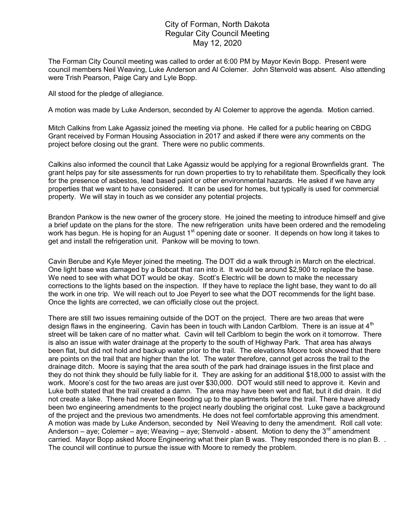## City of Forman, North Dakota Regular City Council Meeting May 12, 2020

The Forman City Council meeting was called to order at 6:00 PM by Mayor Kevin Bopp. Present were council members Neil Weaving, Luke Anderson and Al Colemer. John Stenvold was absent. Also attending were Trish Pearson, Paige Cary and Lyle Bopp.

All stood for the pledge of allegiance.

A motion was made by Luke Anderson, seconded by Al Colemer to approve the agenda. Motion carried.

Mitch Calkins from Lake Agassiz joined the meeting via phone. He called for a public hearing on CBDG Grant received by Forman Housing Association in 2017 and asked if there were any comments on the project before closing out the grant. There were no public comments.

Calkins also informed the council that Lake Agassiz would be applying for a regional Brownfields grant. The grant helps pay for site assessments for run down properties to try to rehabilitate them. Specifically they look for the presence of asbestos, lead based paint or other environmental hazards. He asked if we have any properties that we want to have considered. It can be used for homes, but typically is used for commercial property. We will stay in touch as we consider any potential projects.

Brandon Pankow is the new owner of the grocery store. He joined the meeting to introduce himself and give a brief update on the plans for the store. The new refrigeration units have been ordered and the remodeling work has begun. He is hoping for an August 1<sup>st</sup> opening date or sooner. It depends on how long it takes to get and install the refrigeration unit. Pankow will be moving to town.

Cavin Berube and Kyle Meyer joined the meeting. The DOT did a walk through in March on the electrical. One light base was damaged by a Bobcat that ran into it. It would be around \$2,900 to replace the base. We need to see with what DOT would be okay. Scott's Electric will be down to make the necessary corrections to the lights based on the inspection. If they have to replace the light base, they want to do all the work in one trip. We will reach out to Joe Peyerl to see what the DOT recommends for the light base. Once the lights are corrected, we can officially close out the project.

There are still two issues remaining outside of the DOT on the project. There are two areas that were design flaws in the engineering. Cavin has been in touch with Landon Carlblom. There is an issue at 4<sup>th</sup> street will be taken care of no matter what. Cavin will tell Carlblom to begin the work on it tomorrow. There is also an issue with water drainage at the property to the south of Highway Park. That area has always been flat, but did not hold and backup water prior to the trail. The elevations Moore took showed that there are points on the trail that are higher than the lot. The water therefore, cannot get across the trail to the drainage ditch. Moore is saying that the area south of the park had drainage issues in the first place and they do not think they should be fully liable for it. They are asking for an additional \$18,000 to assist with the work. Moore's cost for the two areas are just over \$30,000. DOT would still need to approve it. Kevin and Luke both stated that the trail created a damn. The area may have been wet and flat, but it did drain. It did not create a lake. There had never been flooding up to the apartments before the trail. There have already been two engineering amendments to the project nearly doubling the original cost. Luke gave a background of the project and the previous two amendments. He does not feel comfortable approving this amendment. A motion was made by Luke Anderson, seconded by Neil Weaving to deny the amendment. Roll call vote: Anderson – aye; Colemer – aye; Weaving – aye; Stenvold - absent. Motion to deny the  $3^{rd}$  amendment carried. Mayor Bopp asked Moore Engineering what their plan B was. They responded there is no plan B. . The council will continue to pursue the issue with Moore to remedy the problem.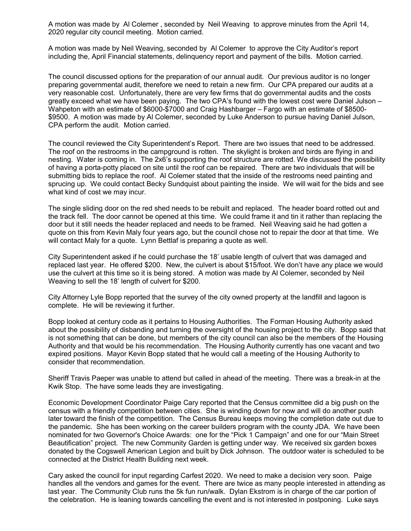A motion was made by Al Colemer , seconded by Neil Weaving to approve minutes from the April 14, 2020 regular city council meeting. Motion carried.

A motion was made by Neil Weaving, seconded by Al Colemer to approve the City Auditor's report including the, April Financial statements, delinquency report and payment of the bills. Motion carried.

The council discussed options for the preparation of our annual audit. Our previous auditor is no longer preparing governmental audit, therefore we need to retain a new firm. Our CPA prepared our audits at a very reasonable cost. Unfortunately, there are very few firms that do governmental audits and the costs greatly exceed what we have been paying. The two CPA's found with the lowest cost were Daniel Julson – Wahpeton with an estimate of \$6000-\$7000 and Craig Hashbarger – Fargo with an estimate of \$8500- \$9500. A motion was made by Al Colemer, seconded by Luke Anderson to pursue having Daniel Julson, CPA perform the audit. Motion carried.

The council reviewed the City Superintendent's Report. There are two issues that need to be addressed. The roof on the restrooms in the campground is rotten. The skylight is broken and birds are flying in and nesting. Water is coming in. The 2x6's supporting the roof structure are rotted. We discussed the possibility of having a porta-potty placed on site until the roof can be repaired. There are two individuals that will be submitting bids to replace the roof. Al Colemer stated that the inside of the restrooms need painting and sprucing up. We could contact Becky Sundquist about painting the inside. We will wait for the bids and see what kind of cost we may incur.

The single sliding door on the red shed needs to be rebuilt and replaced. The header board rotted out and the track fell. The door cannot be opened at this time. We could frame it and tin it rather than replacing the door but it still needs the header replaced and needs to be framed. Neil Weaving said he had gotten a quote on this from Kevin Maly four years ago, but the council chose not to repair the door at that time. We will contact Maly for a quote. Lynn Bettlaf is preparing a quote as well.

City Superintendent asked if he could purchase the 18' usable length of culvert that was damaged and replaced last year. He offered \$200. New, the culvert is about \$15/foot. We don't have any place we would use the culvert at this time so it is being stored. A motion was made by Al Colemer, seconded by Neil Weaving to sell the 18' length of culvert for \$200.

City Attorney Lyle Bopp reported that the survey of the city owned property at the landfill and lagoon is complete. He will be reviewing it further.

Bopp looked at century code as it pertains to Housing Authorities. The Forman Housing Authority asked about the possibility of disbanding and turning the oversight of the housing project to the city. Bopp said that is not something that can be done, but members of the city council can also be the members of the Housing Authority and that would be his recommendation. The Housing Authority currently has one vacant and two expired positions. Mayor Kevin Bopp stated that he would call a meeting of the Housing Authority to consider that recommendation.

Sheriff Travis Paeper was unable to attend but called in ahead of the meeting. There was a break-in at the Kwik Stop. The have some leads they are investigating.

Economic Development Coordinator Paige Cary reported that the Census committee did a big push on the census with a friendly competition between cities. She is winding down for now and will do another push later toward the finish of the competition. The Census Bureau keeps moving the completion date out due to the pandemic. She has been working on the career builders program with the county JDA. We have been nominated for two Governor's Choice Awards: one for the "Pick 1 Campaign" and one for our "Main Street Beautification" project. The new Community Garden is getting under way. We received six garden boxes donated by the Cogswell American Legion and built by Dick Johnson. The outdoor water is scheduled to be connected at the District Health Building next week.

Cary asked the council for input regarding Carfest 2020. We need to make a decision very soon. Paige handles all the vendors and games for the event. There are twice as many people interested in attending as last year. The Community Club runs the 5k fun run/walk. Dylan Ekstrom is in charge of the car portion of the celebration. He is leaning towards cancelling the event and is not interested in postponing. Luke says